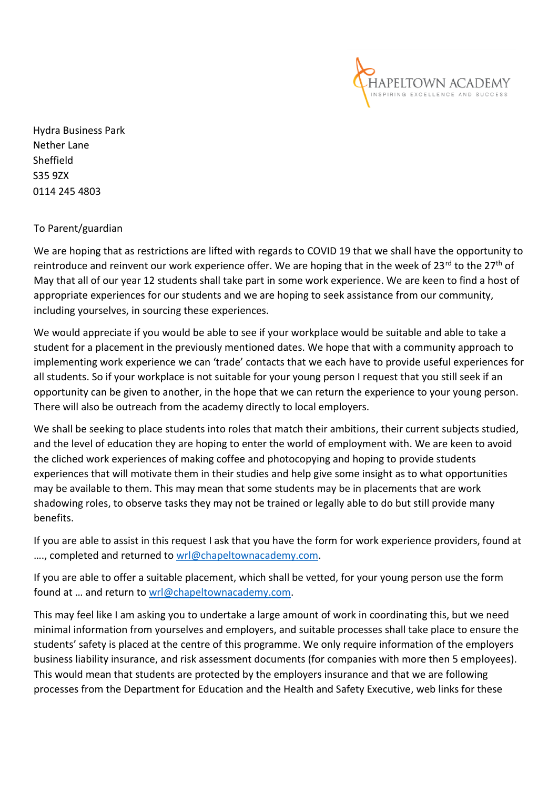

Hydra Business Park Nether Lane Sheffield S35 9ZX 0114 245 4803

## To Parent/guardian

We are hoping that as restrictions are lifted with regards to COVID 19 that we shall have the opportunity to reintroduce and reinvent our work experience offer. We are hoping that in the week of 23<sup>rd</sup> to the 27<sup>th</sup> of May that all of our year 12 students shall take part in some work experience. We are keen to find a host of appropriate experiences for our students and we are hoping to seek assistance from our community, including yourselves, in sourcing these experiences.

We would appreciate if you would be able to see if your workplace would be suitable and able to take a student for a placement in the previously mentioned dates. We hope that with a community approach to implementing work experience we can 'trade' contacts that we each have to provide useful experiences for all students. So if your workplace is not suitable for your young person I request that you still seek if an opportunity can be given to another, in the hope that we can return the experience to your young person. There will also be outreach from the academy directly to local employers.

We shall be seeking to place students into roles that match their ambitions, their current subjects studied, and the level of education they are hoping to enter the world of employment with. We are keen to avoid the cliched work experiences of making coffee and photocopying and hoping to provide students experiences that will motivate them in their studies and help give some insight as to what opportunities may be available to them. This may mean that some students may be in placements that are work shadowing roles, to observe tasks they may not be trained or legally able to do but still provide many benefits.

If you are able to assist in this request I ask that you have the form for work experience providers, found at ...., completed and returned to [wrl@chapeltownacademy.com.](mailto:wrl@chapeltownacademy.com)

If you are able to offer a suitable placement, which shall be vetted, for your young person use the form found at … and return to [wrl@chapeltownacademy.com.](mailto:wrl@chapeltownacademy.com)

This may feel like I am asking you to undertake a large amount of work in coordinating this, but we need minimal information from yourselves and employers, and suitable processes shall take place to ensure the students' safety is placed at the centre of this programme. We only require information of the employers business liability insurance, and risk assessment documents (for companies with more then 5 employees). This would mean that students are protected by the employers insurance and that we are following processes from the Department for Education and the Health and Safety Executive, web links for these